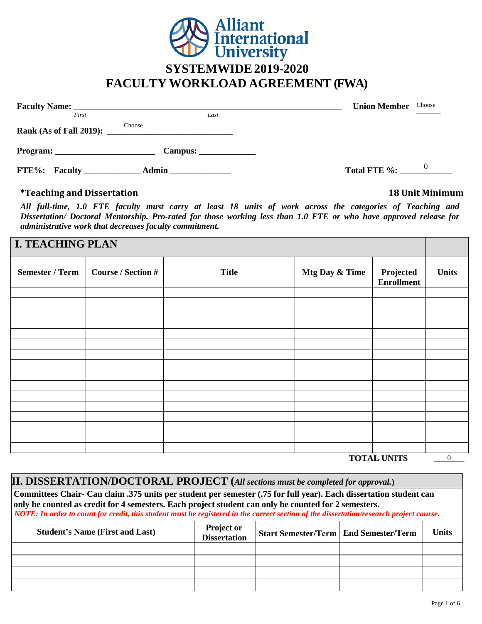

|               | Faculty Name: <u>New York: All and Southern Communications</u> | <b>Union Member</b><br>Choose         |
|---------------|----------------------------------------------------------------|---------------------------------------|
| First         | Last                                                           |                                       |
|               | Choose                                                         |                                       |
|               | Campus:                                                        |                                       |
| FTE%: Faculty | Admin                                                          | $\boldsymbol{\theta}$<br>Total FTE %: |

### **\*Teaching and Dissertation 18 Unit Minimum**

*All full-time, 1.0 FTE faculty must carry at least 18 units of work across the categories of Teaching and Dissertation/ Doctoral Mentorship. Pro-rated for those working less than 1.0 FTE or who have approved release for administrative work that decreases faculty commitment.*

## **I. TEACHING PLAN**

| <b>Semester / Term</b> | <b>Course / Section #</b> | <b>Title</b> | Mtg Day & Time | Projected<br>Enrollment | <b>Units</b> |
|------------------------|---------------------------|--------------|----------------|-------------------------|--------------|
|                        |                           |              |                |                         |              |
|                        |                           |              |                |                         |              |
|                        |                           |              |                |                         |              |
|                        |                           |              |                |                         |              |
|                        |                           |              |                |                         |              |
|                        |                           |              |                |                         |              |
|                        |                           |              |                |                         |              |
|                        |                           |              |                |                         |              |
|                        |                           |              |                |                         |              |
|                        |                           |              |                |                         |              |
|                        |                           |              |                |                         |              |
|                        |                           |              |                |                         |              |
|                        |                           |              |                |                         |              |
|                        |                           |              |                |                         |              |
|                        |                           |              |                |                         |              |
|                        |                           |              |                |                         |              |

**TOTAL UNITS \_\_\_\_\_\_\_** 

| $\sim$ |  |
|--------|--|
|        |  |

| <b>II. DISSERTATION/DOCTORAL PROJECT</b> (All sections must be completed for approval.)                                                                                                                                                                                                                                                                               |                                                                                                     |  |  |  |  |
|-----------------------------------------------------------------------------------------------------------------------------------------------------------------------------------------------------------------------------------------------------------------------------------------------------------------------------------------------------------------------|-----------------------------------------------------------------------------------------------------|--|--|--|--|
| Committees Chair- Can claim .375 units per student per semester (.75 for full year). Each dissertation student can<br>only be counted as credit for 4 semesters. Each project student can only be counted for 2 semesters.<br>NOTE: In order to count for credit, this student must be registered in the correct section of the dissertation/research project course. |                                                                                                     |  |  |  |  |
| <b>Student's Name (First and Last)</b>                                                                                                                                                                                                                                                                                                                                | Project or<br><b>Units</b><br><b>Start Semester/Term   End Semester/Term</b><br><b>Dissertation</b> |  |  |  |  |
|                                                                                                                                                                                                                                                                                                                                                                       |                                                                                                     |  |  |  |  |
|                                                                                                                                                                                                                                                                                                                                                                       |                                                                                                     |  |  |  |  |
|                                                                                                                                                                                                                                                                                                                                                                       |                                                                                                     |  |  |  |  |
|                                                                                                                                                                                                                                                                                                                                                                       |                                                                                                     |  |  |  |  |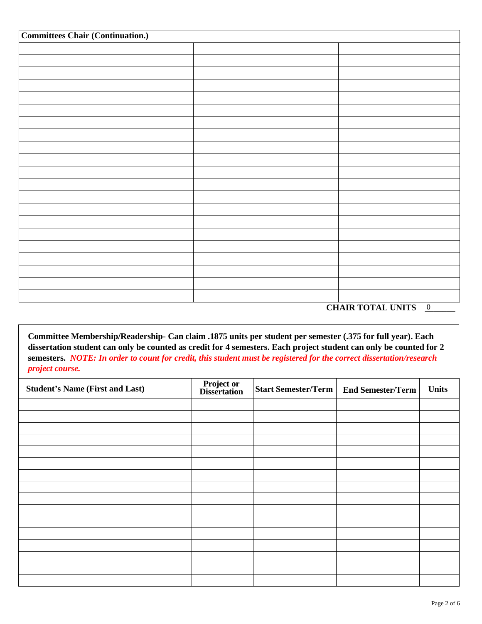| <b>Committees Chair (Continuation.)</b> |  |  |  |  |
|-----------------------------------------|--|--|--|--|
|                                         |  |  |  |  |
|                                         |  |  |  |  |
|                                         |  |  |  |  |
|                                         |  |  |  |  |
|                                         |  |  |  |  |
|                                         |  |  |  |  |
|                                         |  |  |  |  |
|                                         |  |  |  |  |
|                                         |  |  |  |  |
|                                         |  |  |  |  |
|                                         |  |  |  |  |
|                                         |  |  |  |  |
|                                         |  |  |  |  |
|                                         |  |  |  |  |
|                                         |  |  |  |  |
|                                         |  |  |  |  |
|                                         |  |  |  |  |
|                                         |  |  |  |  |
|                                         |  |  |  |  |
|                                         |  |  |  |  |
|                                         |  |  |  |  |

CHAIR TOTAL UNITS **0** 

**Committee Membership/Readership- Can claim .1875 units per student per semester (.375 for full year). Each dissertation student can only be counted as credit for 4 semesters. Each project student can only be counted for 2 semesters.** *NOTE: In order to count for credit, this student must be registered for the correct dissertation/research project course.*

| <b>Student's Name (First and Last)</b> | <b>Project or<br/>Dissertation</b> | <b>Start Semester/Term</b> | <b>End Semester/Term</b> | <b>Units</b> |
|----------------------------------------|------------------------------------|----------------------------|--------------------------|--------------|
|                                        |                                    |                            |                          |              |
|                                        |                                    |                            |                          |              |
|                                        |                                    |                            |                          |              |
|                                        |                                    |                            |                          |              |
|                                        |                                    |                            |                          |              |
|                                        |                                    |                            |                          |              |
|                                        |                                    |                            |                          |              |
|                                        |                                    |                            |                          |              |
|                                        |                                    |                            |                          |              |
|                                        |                                    |                            |                          |              |
|                                        |                                    |                            |                          |              |
|                                        |                                    |                            |                          |              |
|                                        |                                    |                            |                          |              |
|                                        |                                    |                            |                          |              |
|                                        |                                    |                            |                          |              |
|                                        |                                    |                            |                          |              |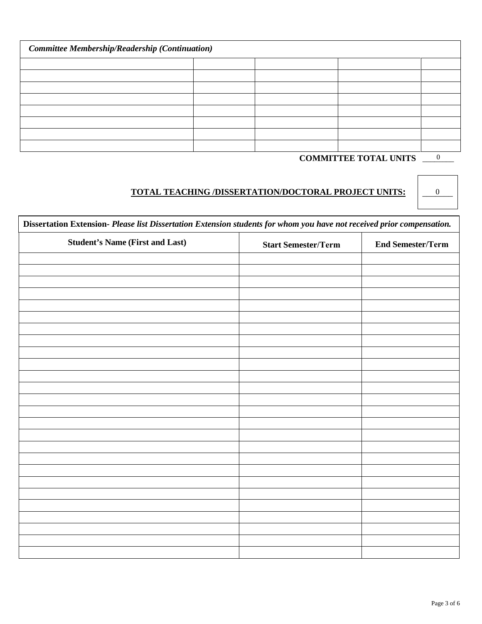| <b>Committee Membership/Readership (Continuation)</b> |  |  |  |  |
|-------------------------------------------------------|--|--|--|--|
|                                                       |  |  |  |  |
|                                                       |  |  |  |  |
|                                                       |  |  |  |  |
|                                                       |  |  |  |  |
|                                                       |  |  |  |  |
|                                                       |  |  |  |  |
|                                                       |  |  |  |  |
|                                                       |  |  |  |  |

# **COMMITTEE TOTAL UNITS** \_\_\_\_\_\_\_\_

 $\overline{0}$ 

 $\boldsymbol{0}$ 

## **TOTAL TEACHING /DISSERTATION/DOCTORAL PROJECT UNITS:** \_\_\_\_\_\_\_

| Dissertation Extension-Please list Dissertation Extension students for whom you have not received prior compensation. |  |  |  |  |  |
|-----------------------------------------------------------------------------------------------------------------------|--|--|--|--|--|
| <b>Student's Name (First and Last)</b><br><b>End Semester/Term</b><br><b>Start Semester/Term</b>                      |  |  |  |  |  |
|                                                                                                                       |  |  |  |  |  |
|                                                                                                                       |  |  |  |  |  |
|                                                                                                                       |  |  |  |  |  |
|                                                                                                                       |  |  |  |  |  |
|                                                                                                                       |  |  |  |  |  |
|                                                                                                                       |  |  |  |  |  |
|                                                                                                                       |  |  |  |  |  |
|                                                                                                                       |  |  |  |  |  |
|                                                                                                                       |  |  |  |  |  |
|                                                                                                                       |  |  |  |  |  |
|                                                                                                                       |  |  |  |  |  |
|                                                                                                                       |  |  |  |  |  |
|                                                                                                                       |  |  |  |  |  |
|                                                                                                                       |  |  |  |  |  |
|                                                                                                                       |  |  |  |  |  |
|                                                                                                                       |  |  |  |  |  |
|                                                                                                                       |  |  |  |  |  |
|                                                                                                                       |  |  |  |  |  |
|                                                                                                                       |  |  |  |  |  |
|                                                                                                                       |  |  |  |  |  |
|                                                                                                                       |  |  |  |  |  |
|                                                                                                                       |  |  |  |  |  |
|                                                                                                                       |  |  |  |  |  |
|                                                                                                                       |  |  |  |  |  |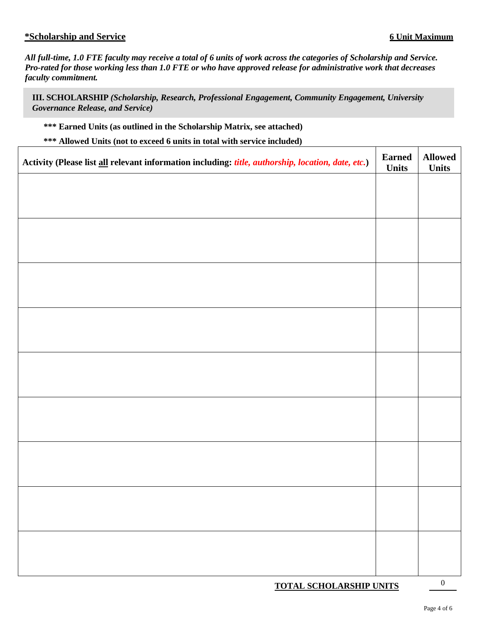### **\*Scholarship and Service 6 Unit Maximum**

*All full-time, 1.0 FTE faculty may receive a total of 6 units of work across the categories of Scholarship and Service. Pro-rated for those working less than 1.0 FTE or who have approved release for administrative work that decreases faculty commitment.*

**III. SCHOLARSHIP** *(Scholarship, Research, Professional Engagement, Community Engagement, University Governance Release, and Service)*

**\*\*\* Earned Units (as outlined in the Scholarship Matrix, see attached)**

**\*\*\* Allowed Units (not to exceed 6 units in total with service included)**

| Activity (Please list all relevant information including: title, authorship, location, date, etc.) | <b>Earned</b><br><b>Units</b> | <b>Allowed</b><br><b>Units</b> |
|----------------------------------------------------------------------------------------------------|-------------------------------|--------------------------------|
|                                                                                                    |                               |                                |
|                                                                                                    |                               |                                |
|                                                                                                    |                               |                                |
|                                                                                                    |                               |                                |
|                                                                                                    |                               |                                |
|                                                                                                    |                               |                                |
|                                                                                                    |                               |                                |
|                                                                                                    |                               |                                |
|                                                                                                    |                               |                                |
|                                                                                                    |                               |                                |
|                                                                                                    |                               |                                |
|                                                                                                    |                               |                                |
|                                                                                                    |                               |                                |
|                                                                                                    |                               |                                |
|                                                                                                    |                               |                                |
|                                                                                                    |                               |                                |
|                                                                                                    |                               |                                |
|                                                                                                    |                               |                                |
| <b>TOTAL SCHOLARSHIP UNITS</b>                                                                     |                               | $\boldsymbol{0}$               |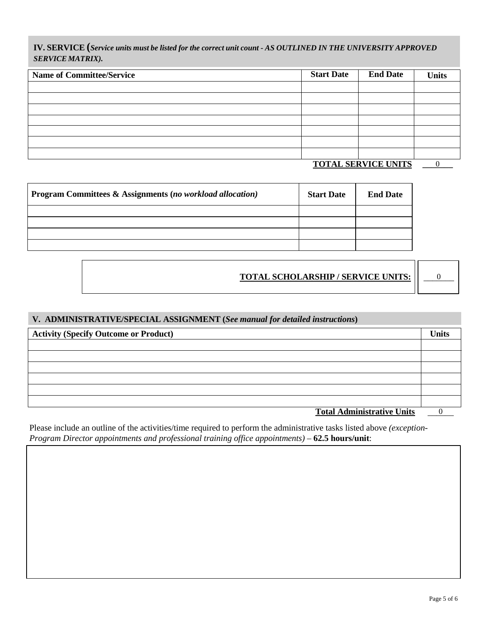IV. SERVICE (Service units must be listed for the correct unit count - AS OUTLINED IN THE UNIVERSITY APPROVED *SERVICE MATRIX).*

| <b>Name of Committee/Service</b> | <b>Start Date</b> | <b>End Date</b>            | <b>Units</b> |
|----------------------------------|-------------------|----------------------------|--------------|
|                                  |                   |                            |              |
|                                  |                   |                            |              |
|                                  |                   |                            |              |
|                                  |                   |                            |              |
|                                  |                   |                            |              |
|                                  |                   |                            |              |
|                                  |                   |                            |              |
|                                  |                   | <b>TOTAL SERVICE UNITS</b> |              |

**TOTAL SERVICE UNITS \_\_\_\_\_\_\_**

| <b>Program Committees &amp; Assignments (no workload allocation)</b> | <b>Start Date</b> | <b>End Date</b> |
|----------------------------------------------------------------------|-------------------|-----------------|
|                                                                      |                   |                 |
|                                                                      |                   |                 |
|                                                                      |                   |                 |
|                                                                      |                   |                 |

**TOTAL SCHOLARSHIP / SERVICE UNITS:** \_\_\_\_\_\_\_

0

### **V. ADMINISTRATIVE/SPECIAL ASSIGNMENT (***See manual for detailed instructions***)**

| <b>Activity (Specify Outcome or Product)</b> | <b>Units</b> |
|----------------------------------------------|--------------|
|                                              |              |
|                                              |              |
|                                              |              |
|                                              |              |
|                                              |              |
|                                              |              |
| <b>Total Administrative Units</b>            |              |

Please include an outline of the activities/time required to perform the administrative tasks listed above *(exception-Program Director appointments and professional training office appointments)* – 62.5 hours/unit: